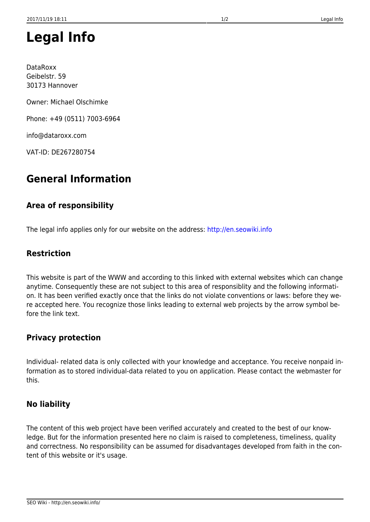# **Legal Info**

DataRoxx Geibelstr. 59 30173 Hannover

Owner: Michael Olschimke

Phone: +49 (0511) 7003-6964

info@dataroxx.com

VAT-ID: DE267280754

# **General Information**

#### **Area of responsibility**

The legal info applies only for our website on the address: <http://en.seowiki.info>

#### **Restriction**

This website is part of the WWW and according to this linked with external websites which can change anytime. Consequently these are not subject to this area of responsiblity and the following information. It has been verified exactly once that the links do not violate conventions or laws: before they were accepted here. You recognize those links leading to external web projects by the arrow symbol before the link text.

#### **Privacy protection**

Individual- related data is only collected with your knowledge and acceptance. You receive nonpaid information as to stored individual-data related to you on application. Please contact the webmaster for this.

#### **No liability**

The content of this web project have been verified accurately and created to the best of our knowledge. But for the information presented here no claim is raised to completeness, timeliness, quality and correctness. No responsibility can be assumed for disadvantages developed from faith in the content of this website or it's usage.